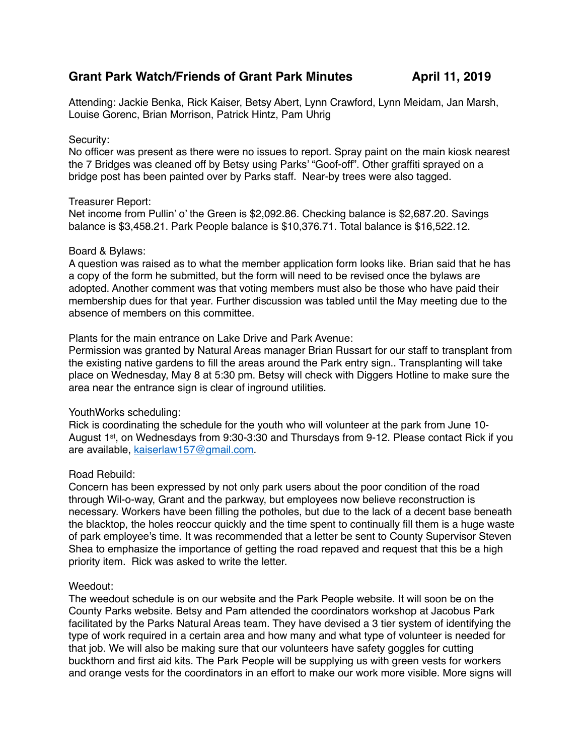# Grant Park Watch/Friends of Grant Park Minutes **April 11, 2019**

Attending: Jackie Benka, Rick Kaiser, Betsy Abert, Lynn Crawford, Lynn Meidam, Jan Marsh, Louise Gorenc, Brian Morrison, Patrick Hintz, Pam Uhrig

# Security:

No officer was present as there were no issues to report. Spray paint on the main kiosk nearest the 7 Bridges was cleaned off by Betsy using Parks' "Goof-off". Other graffiti sprayed on a bridge post has been painted over by Parks staff. Near-by trees were also tagged.

# Treasurer Report:

Net income from Pullin' o' the Green is \$2,092.86. Checking balance is \$2,687.20. Savings balance is \$3,458.21. Park People balance is \$10,376.71. Total balance is \$16,522.12.

### Board & Bylaws:

A question was raised as to what the member application form looks like. Brian said that he has a copy of the form he submitted, but the form will need to be revised once the bylaws are adopted. Another comment was that voting members must also be those who have paid their membership dues for that year. Further discussion was tabled until the May meeting due to the absence of members on this committee.

# Plants for the main entrance on Lake Drive and Park Avenue:

Permission was granted by Natural Areas manager Brian Russart for our staff to transplant from the existing native gardens to fill the areas around the Park entry sign.. Transplanting will take place on Wednesday, May 8 at 5:30 pm. Betsy will check with Diggers Hotline to make sure the area near the entrance sign is clear of inground utilities.

# YouthWorks scheduling:

Rick is coordinating the schedule for the youth who will volunteer at the park from June 10- August 1st, on Wednesdays from 9:30-3:30 and Thursdays from 9-12. Please contact Rick if you are available, [kaiserlaw157@gmail.com.](mailto:kaiserlaw157@gmail.com)

# Road Rebuild:

Concern has been expressed by not only park users about the poor condition of the road through Wil-o-way, Grant and the parkway, but employees now believe reconstruction is necessary. Workers have been filling the potholes, but due to the lack of a decent base beneath the blacktop, the holes reoccur quickly and the time spent to continually fill them is a huge waste of park employee's time. It was recommended that a letter be sent to County Supervisor Steven Shea to emphasize the importance of getting the road repaved and request that this be a high priority item. Rick was asked to write the letter.

#### Weedout:

The weedout schedule is on our website and the Park People website. It will soon be on the County Parks website. Betsy and Pam attended the coordinators workshop at Jacobus Park facilitated by the Parks Natural Areas team. They have devised a 3 tier system of identifying the type of work required in a certain area and how many and what type of volunteer is needed for that job. We will also be making sure that our volunteers have safety goggles for cutting buckthorn and first aid kits. The Park People will be supplying us with green vests for workers and orange vests for the coordinators in an effort to make our work more visible. More signs will